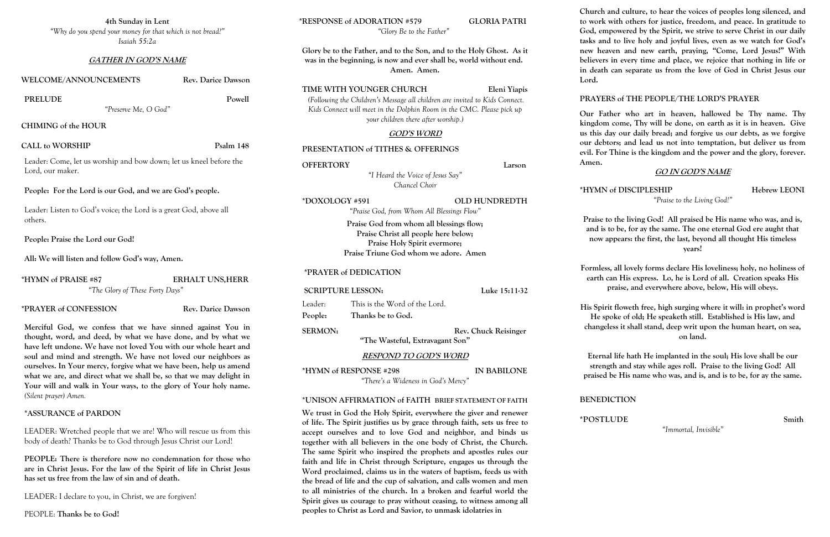**4th Sunday in Lent** *"Why do you spend your money for that which is not bread?" Isaiah 55:2a*

### **GATHER IN GOD'S NAME**

#### **WELCOME/ANNOUNCEMENTS Rev. Darice Dawson**

### PRELUDE Powell

*"Preserve Me, O God"*

**CHIMING of the HOUR**

### CALL to WORSHIP Psalm 148

Leader: Come, let us worship and bow down; let us kneel before the Lord, our maker.

**People: For the Lord is our God, and we are God's people.**

Leader: Listen to God's voice; the Lord is a great God, above all others.

**People: Praise the Lord our God!**

**All: We will listen and follow God's way, Amen.**

**\*HYMN of PRAISE #87 ERHALT UNS,HERR** *"The Glory of These Forty Days"*

**\*PRAYER of CONFESSION Rev. Darice Dawson**

**Merciful God, we confess that we have sinned against You in thought, word, and deed, by what we have done, and by what we have left undone. We have not loved You with our whole heart and soul and mind and strength. We have not loved our neighbors as ourselves. In Your mercy, forgive what we have been, help us amend what we are, and direct what we shall be, so that we may delight in Your will and walk in Your ways, to the glory of Your holy name.**  *(Silent prayer) Amen.*

### **\*ASSURANCE of PARDON**

LEADER: Wretched people that we are! Who will rescue us from this body of death? Thanks be to God through Jesus Christ our Lord!

# **SCRIPTURE LESSON:** Luke 15:11-32 Leader: This is the Word of the Lord. **People: Thanks be to God. SERMON:** Rev. Chuck Reisinger **"The Wasteful, Extravagant Son"**

**PEOPLE: There is therefore now no condemnation for those who are in Christ Jesus. For the law of the Spirit of life in Christ Jesus has set us free from the law of sin and of death.**

LEADER: I declare to you, in Christ, we are forgiven!

PEOPLE: **Thanks be to God!**

# **\*RESPONSE of ADORATION #579 GLORIA PATRI**

*"Glory Be to the Father"*

**Glory be to the Father, and to the Son, and to the Holy Ghost. As it was in the beginning, is now and ever shall be, world without end. Amen. Amen.**

## **TIME WITH YOUNGER CHURCH Eleni Yiapis**

*(Following the Children's Message all children are invited to Kids Connect. Kids Connect will meet in the Dolphin Room in the CMC. Please pick up your children there after worship.)*

### **GOD'S WORD**

## **PRESENTATION of TITHES & OFFERINGS**

**OFFERTORY Larson**

*"I Heard the Voice of Jesus Say" Chancel Choir*

#### **\*DOXOLOGY #591 OLD HUNDREDTH**

*"Praise God, from Whom All Blessings Flow"*

**Praise God from whom all blessings flow; Praise Christ all people here below; Praise Holy Spirit evermore; Praise Triune God whom we adore. Amen**

### **\*PRAYER of DEDICATION**

### **RESPOND TO GOD'S WORD**

**\*HYMN of RESPONSE #298 IN BABILONE** *"There's a Wideness in God's Mercy"*

# **\*UNISON AFFIRMATION of FAITH BRIEF STATEMENT OF FAITH**

**We trust in God the Holy Spirit, everywhere the giver and renewer of life. The Spirit justifies us by grace through faith, sets us free to accept ourselves and to love God and neighbor, and binds us together with all believers in the one body of Christ, the Church. The same Spirit who inspired the prophets and apostles rules our faith and life in Christ through Scripture, engages us through the Word proclaimed, claims us in the waters of baptism, feeds us with the bread of life and the cup of salvation, and calls women and men to all ministries of the church. In a broken and fearful world the Spirit gives us courage to pray without ceasing, to witness among all peoples to Christ as Lord and Savior, to unmask idolatries in** 

**Church and culture, to hear the voices of peoples long silenced, and to work with others for justice, freedom, and peace. In gratitude to God, empowered by the Spirit, we strive to serve Christ in our daily tasks and to live holy and joyful lives, even as we watch for God's new heaven and new earth, praying, "Come, Lord Jesus!" With believers in every time and place, we rejoice that nothing in life or in death can separate us from the love of God in Christ Jesus our** 

**Lord.**

# **PRAYERS of THE PEOPLE/THE LORD'S PRAYER**

**Our Father who art in heaven, hallowed be Thy name. Thy kingdom come, Thy will be done, on earth as it is in heaven. Give us this day our daily bread; and forgive us our debts, as we forgive our debtors; and lead us not into temptation, but deliver us from evil. For Thine is the kingdom and the power and the glory, forever.** 

**Amen.** 

# **GO IN GOD'S NAME**

**\*HYMN of DISCIPLESHIP Hebrew LEONI**

*"Praise to the Living God!"*

**Praise to the living God! All praised be His name who was, and is, and is to be, for ay the same. The one eternal God ere aught that now appears: the first, the last, beyond all thought His timeless years!**

**Formless, all lovely forms declare His loveliness; holy, no holiness of earth can His express. Lo, he is Lord of all. Creation speaks His praise, and everywhere above, below, His will obeys.**

**His Spirit floweth free, high surging where it will: in prophet's word He spoke of old; He speaketh still. Established is His law, and changeless it shall stand, deep writ upon the human heart, on sea, on land.**

**Eternal life hath He implanted in the soul; His love shall be our strength and stay while ages roll. Praise to the living God! All praised be His name who was, and is, and is to be, for ay the same.**

# **BENEDICTION**

**\*POSTLUDE Smith** 

*"Immortal, Invisible"*